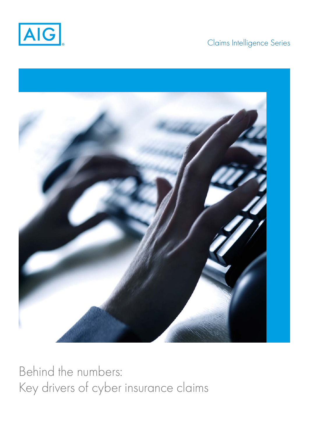

# Claims Intelligence Series



Behind the numbers: Key drivers of cyber insurance claims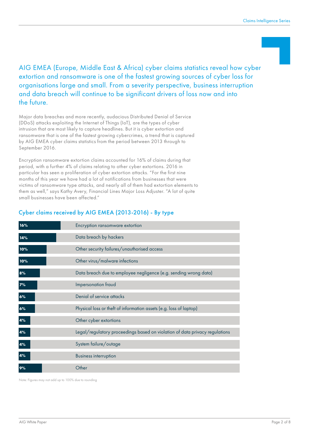## AIG EMEA (Europe, Middle East & Africa) cyber claims statistics reveal how cyber extortion and ransomware is one of the fastest growing sources of cyber loss for organisations large and small. From a severity perspective, business interruption and data breach will continue to be significant drivers of loss now and into the future.

Major data breaches and more recently, audacious Distributed Denial of Service (DDoS) attacks exploiting the Internet of Things (IoT), are the types of cyber intrusion that are most likely to capture headlines. But it is cyber extortion and ransomware that is one of the fastest growing cybercrimes, a trend that is captured by AIG EMEA cyber claims statistics from the period between 2013 through to September 2016.

Encryption ransomware extortion claims accounted for 16% of claims during that period, with a further 4% of claims relating to other cyber extortions. 2016 in particular has seen a proliferation of cyber extortion attacks. "For the first nine months of this year we have had a lot of notifications from businesses that were victims of ransomware type attacks, and nearly all of them had extortion elements to them as well," says Kathy Avery, Financial Lines Major Loss Adjuster. "A lot of quite small businesses have been affected."

#### Cyber claims received by AIG EMEA (2013-2016) - By type

| 16%    | Encryption ransomware extortion                                             |
|--------|-----------------------------------------------------------------------------|
| 14%    | Data breach by hackers                                                      |
| $10\%$ | Other security failures/unauthorised access                                 |
| $10\%$ | Other virus/malware infections                                              |
| 8%     | Data breach due to employee negligence (e.g. sending wrong data)            |
| 7%     | Impersonation fraud                                                         |
| 6%     | Denial of service attacks                                                   |
| 6%     | Physical loss or theft of information assets (e.g. loss of laptop)          |
| 4%     | Other cyber extortions                                                      |
| 4%     | Legal/regulatory proceedings based on violation of data privacy regulations |
| 4%     | System failure/outage                                                       |
| 4%     | <b>Business interruption</b>                                                |
| 9%     | Other                                                                       |

Note: Figures may not add up to 100% due to rounding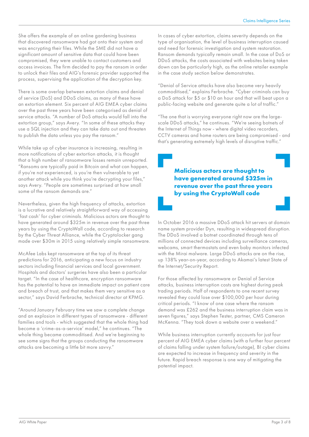She offers the example of an online gardening business that discovered ransomware had got onto their system and was encrypting their files. While the SME did not have a significant amount of sensitive data that could have been compromised, they were unable to contact customers and access invoices. The firm decided to pay the ransom in order to unlock their files and AIG's forensic provider supported the process, supervising the application of the decryption key.

There is some overlap between extortion claims and denial of service (DoS) and DDoS claims, as many of these have an extortion element. Six percent of AIG EMEA cyber claims over the past three years have been categorised as denial of service attacks. "A number of DoS attacks would fall into the extortion group," says Avery. "In some of these attacks they use a SQL injection and they can take data out and threaten to publish the data unless you pay the ransom."

While take up of cyber insurance is increasing, resulting in more notifications of cyber extortion attacks, it is thought that a high number of ransomware losses remain unreported. "Ransoms are typically paid in Bitcoin and what can happen, if you're not experienced, is you're then vulnerable to yet another attack while you think you're decrypting your files," says Avery. "People are sometimes surprised at how small some of the ransom demands are."

Nevertheless, given the high frequency of attacks, extortion is a lucrative and relatively straightforward way of accessing 'fast cash' for cyber criminals. Malicious actors are thought to have generated around \$325m in revenue over the past three years by using the CryptoWall code, according to research by the Cyber Threat Alliance, while the Cryptolocker gang made over \$30m in 2015 using relatively simple ransomware.

McAfee Labs kept ransomware at the top of its threat predictions for 2016, anticipating a new focus on industry sectors including financial services and local government. Hospitals and doctors' surgeries have also been a particular target. "In the case of healthcare, encryption ransomware has the potential to have an immediate impact on patient care and breach of trust, and that makes them very sensitive as a sector," says David Ferbrache, technical director at KPMG.

"Around January February time we saw a complete change and an explosion in different types of ransomware - different families and tools - which suggested that the whole thing had become a 'crime-as-a-service' model," he continues. "The whole thing became commoditised. And we're beginning to see some signs that the groups conducting the ransomware attacks are becoming a little bit more savvy."

In cases of cyber extortion, claims severity depends on the type of organisation, the level of business interruption caused and need for forensic investigation and system restoration. Ransom demands typically remain small. In the case of DoS or DDoS attacks, the costs associated with websites being taken down can be particularly high, as the online retailer example in the case study section below demonstrates.

"Denial of Service attacks have also become very heavily commoditised," explains Ferbrache. "Cyber criminals can buy a DoS attack for \$5 or \$10 an hour and that will beat upon a public-facing website and generate quite a lot of traffic."

"The one that is worrying everyone right now are the largescale DDoS attacks," he continues. "We're seeing botnets of the Internet of Things now - where digital video recorders, CCTV cameras and home routers are being compromised - and that's generating extremely high levels of disruptive traffic."

> **Malicious actors are thought to have generated around \$325m in revenue over the past three years by using the CryptoWall code**

In October 2016 a massive DDoS attack hit servers at domain name system provider Dyn, resulting in widespread disruption. The DDoS involved a botnet coordinated through tens of millions of connected devices including surveillance cameras, webcams, smart thermostats and even baby monitors infected with the Mirai malware. Large DDoS attacks are on the rise, up 138% year-on-year, according to Akamai's latest State of the Internet/Security Report.

For those affected by ransomware or Denial of Service attacks, business interruption costs are highest during peak trading periods. Half of respondents to one recent survey revealed they could lose over \$100,000 per hour during critical periods. "I know of one case where the ransom demand was £262 and the business interruption claim was in seven figures," says Stephen Tester, partner, CMS Cameron McKenna. "They took down a website over a weekend."

While business interruption currently accounts for just four percent of AIG EMEA cyber claims (with a further four percent of claims falling under system failure/outage), BI cyber claims are expected to increase in frequency and severity in the future. Rapid breach response is one way of mitigating the potential impact.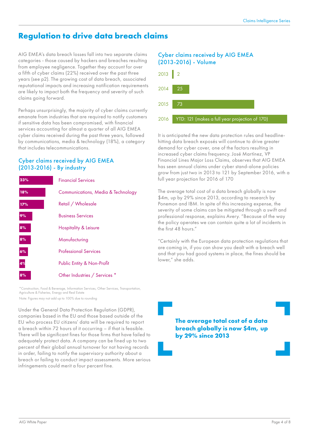# **Regulation to drive data breach claims**

AIG EMEA's data breach losses fall into two separate claims categories - those caused by hackers and breaches resulting from employee negligence. Together they account for over a fifth of cyber claims (22%) received over the past three years (see p2). The growing cost of data breach, associated reputational impacts and increasing notification requirements are likely to impact both the frequency and severity of such claims going forward.

Perhaps unsurprisingly, the majority of cyber claims currently emanate from industries that are required to notify customers if sensitive data has been compromised, with financial services accounting for almost a quarter of all AIG EMEA cyber claims received during the past three years, followed by communications, media & technology (18%), a category that includes telecommunications.

#### Cyber claims received by AIG EMEA (2013-2016) - By industry

| 23% | <b>Financial Services</b>                     |
|-----|-----------------------------------------------|
| 18% | <b>Communications, Media &amp; Technology</b> |
| 17% | Retail / Wholesale                            |
| 9%  | <b>Business Services</b>                      |
| 8%  | <b>Hospitality &amp; Leisure</b>              |
| 8%  | Manufacturing                                 |
| 6%  | <b>Professional Services</b>                  |
| 4%  | Public Entity & Non-Profit                    |
| 8%  | Other Industries / Services *                 |

\*Construction, Food & Beverage, Information Services, Other Services, Transportation, Agriculture & Fisheries, Energy and Real Estate Note: Figures may not add up to 100% due to rounding

Under the General Data Protection Regulation (GDPR), companies based in the EU and those based outside of the EU who process EU citizens' data will be required to report a breach within 72 hours of it occurring – if that is feasible. There will be significant fines for those firms that have failed to adequately protect data. A company can be fined up to two percent of their global annual turnover for not having records in order, failing to notify the supervisory authority about a breach or failing to conduct impact assessments. More serious infringements could merit a four percent fine.

#### Cyber claims received by AIG EMEA (2013-2016) - Volume



It is anticipated the new data protection rules and headlinehitting data breach exposés will continue to drive greater demand for cyber cover, one of the factors resulting in increased cyber claims frequency. José Martínez, VP Financial Lines Major Loss Claims, observes that AIG EMEA has seen annual claims under cyber stand-alone policies grow from just two in 2013 to 121 by September 2016, with a full year projection for 2016 of 170

The average total cost of a data breach globally is now \$4m, up by 29% since 2013, according to research by Ponemon and IBM. In spite of this increasing expense, the severity of some claims can be mitigated through a swift and professional response, explains Avery. "Because of the way the policy operates we can contain quite a lot of incidents in the first 48 hours."

"Certainly with the European data protection regulations that are coming in, if you can show you dealt with a breach well and that you had good systems in place, the fines should be lower," she adds.

**The average total cost of a data breach globally is now \$4m, up by 29% since 2013**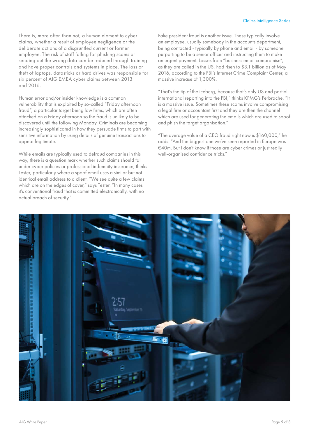There is, more often than not, a human element to cyber claims, whether a result of employee negligence or the deliberate actions of a disgruntled current or former employee. The risk of staff falling for phishing scams or sending out the wrong data can be reduced through training and have proper controls and systems in place. The loss or theft of laptops, datasticks or hard drives was responsible for six percent of AIG EMEA cyber claims between 2013 and 2016.

Human error and/or insider knowledge is a common vulnerability that is exploited by so-called "Friday afternoon fraud", a particular target being law firms, which are often attacked on a Friday afternoon so the fraud is unlikely to be discovered until the following Monday. Criminals are becoming increasingly sophisticated in how they persuade firms to part with sensitive information by using details of genuine transactions to appear legitimate.

While emails are typically used to defraud companies in this way, there is a question mark whether such claims should fall under cyber policies or professional indemnity insurance, thinks Tester, particularly where a spoof email uses a similar but not identical email address to a client. "We see quite a few claims which are on the edges of cover," says Tester. "In many cases it's conventional fraud that is committed electronically, with no actual breach of security."

Fake president fraud is another issue. These typically involve an employee, usually somebody in the accounts department, being contacted - typically by phone and email - by someone purporting to be a senior officer and instructing them to make an urgent payment. Losses from "business email compromise", as they are called in the US, had risen to \$3.1 billion as of May 2016, according to the FBI's Internet Crime Complaint Center, a massive increase of 1,300%.

"That's the tip of the iceberg, because that's only US and partial international reporting into the FBI," thinks KPMG's Ferbrache. "It is a massive issue. Sometimes these scams involve compromising a legal firm or accountant first and they are then the channel which are used for generating the emails which are used to spoof and phish the target organisation."

"The average value of a CEO fraud right now is \$160,000," he adds. "And the biggest one we've seen reported in Europe was €40m. But I don't know if those are cyber crimes or just really well-organised confidence tricks."

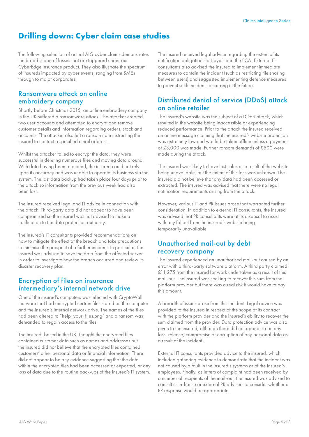# **Drilling down: Cyber claim case studies**

The following selection of actual AIG cyber claims demonstrates the broad scope of losses that are triggered under our CyberEdge insurance product. They also illustrate the spectrum of insureds impacted by cyber events, ranging from SMEs through to major corporates.

### Ransomware attack on online embroidery company

Shortly before Christmas 2015, an online embroidery company in the UK suffered a ransomware attack. The attacker created two user accounts and attempted to encrypt and remove customer details and information regarding orders, stock and accounts. The attacker also left a ransom note instructing the insured to contact a specified email address.

Whilst the attacker failed to encrypt the data, they were successful in deleting numerous files and moving data around. With data having been relocated, the insured could not rely upon its accuracy and was unable to operate its business via the system. The last data backup had taken place four days prior to the attack so information from the previous week had also been lost.

The insured received legal and IT advice in connection with the attack. Third-party data did not appear to have been compromised so the insured was not advised to make a notification to the data protection authority.

The insured's IT consultants provided recommendations on how to mitigate the effect of the breach and take precautions to minimise the prospect of a further incident. In particular, the insured was advised to save the data from the affected server in order to investigate how the breach occurred and review its disaster recovery plan.

### Encryption of files on insurance intermediary's internal network drive

One of the insured's computers was infected with CryptoWall malware that had encrypted certain files stored on the computer and the insured's internal network drive. The names of the files had been altered to "help your files.png" and a ransom was demanded to regain access to the files.

The insured, based in the UK, thought the encrypted files contained customer data such as names and addresses but the insured did not believe that the encrypted files contained customers' other personal data or financial information. There did not appear to be any evidence suggesting that the data within the encrypted files had been accessed or exported, or any loss of data due to the routine back-ups of the insured's IT system.

The insured received legal advice regarding the extent of its notification obligations to Lloyd's and the FCA. External IT consultants also advised the insured to implement immediate measures to contain the incident (such as restricting file sharing between users) and suggested implementing defence measures to prevent such incidents occurring in the future.

### Distributed denial of service (DDoS) attack on online retailer

The insured's website was the subject of a DDoS attack, which resulted in the website being inaccessible or experiencing reduced performance. Prior to the attack the insured received an online message claiming that the insured's website protection was extremely low and would be taken offline unless a payment of £3,000 was made. Further ransom demands of £500 were made during the attack.

The insured was likely to have lost sales as a result of the website being unavailable, but the extent of this loss was unknown. The insured did not believe that any data had been accessed or extracted. The insured was advised that there were no legal notification requirements arising from the attack.

However, various IT and PR issues arose that warranted further consideration. In addition to external IT consultants, the insured was advised that PR consultants were at its disposal to assist with any fallout from the insured's website being temporarily unavailable.

### Unauthorised mail-out by debt recovery company

The insured experienced an unauthorised mail-out caused by an error with a third-party software platform. A third party claimed £11,275 from the insured for work undertaken as a result of this mail-out. The insured was seeking to recover this sum from the platform provider but there was a real risk it would have to pay this amount.

A breadth of issues arose from this incident. Legal advice was provided to the insured in respect of the scope of its contract with the platform provider and the insured's ability to recover the sum claimed from the provider. Data protection advice was also given to the insured, although there did not appear to be any loss, release, compromise or corruption of any personal data as a result of the incident.

External IT consultants provided advice to the insured, which included gathering evidence to demonstrate that the incident was not caused by a fault in the insured's systems or of the insured's employees. Finally, as letters of complaint had been received by a number of recipients of the mail-out, the insured was advised to consult its in-house or external PR advisers to consider whether a PR response would be appropriate.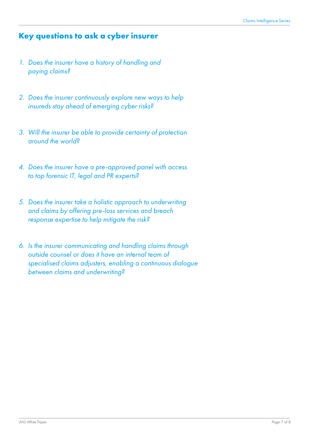## **Key questions to ask a cyber insurer**

- *1. Does the insurer have a history of handling and paying claims?*
- *2. Does the insurer continuously explore new ways to help insureds stay ahead of emerging cyber risks?*
- *3. Will the insurer be able to provide certainty of protection around the world?*
- *4. Does the insurer have a pre-approved panel with access to top forensic IT, legal and PR experts?*
- *5. Does the insurer take a holistic approach to underwriting and claims by offering pre-loss services and breach response expertise to help mitigate the risk?*
- *6. Is the insurer communicating and handling claims through outside counsel or does it have an internal team of specialised claims adjusters, enabling a continuous dialogue between claims and underwriting?*